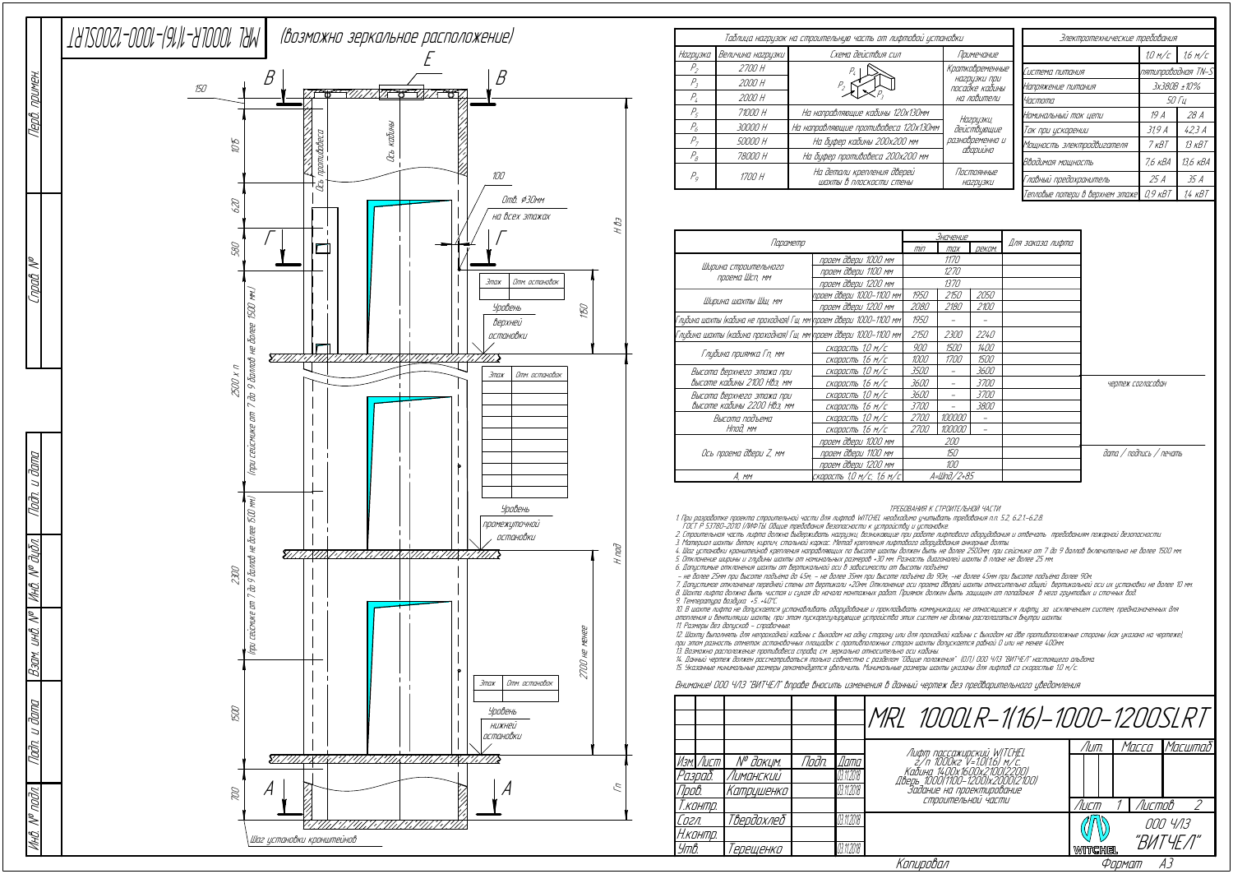|                                                                      |                           |             | Значение    |               |                  |
|----------------------------------------------------------------------|---------------------------|-------------|-------------|---------------|------------------|
| Параметр                                                             |                           | $\pi$       | max         | <b>ДЕКОМ.</b> | Для заказа лифта |
| Ширина строительного<br>проема Шсп, мм                               | проем двери 1000 мм       |             | 1170        |               |                  |
|                                                                      | проем двери 1100 мм       | 1270        |             |               |                  |
|                                                                      | проем двери 1200 мм       |             | 1370        |               |                  |
| Ширина шахты Шш, мм                                                  | проем двери 1000-1100 мм  | 1950        | 2150        | 2050          |                  |
|                                                                      | проем двери 1200 мм       | 2080        | 2180        | 2100          |                  |
| Глубина шахты (кабина не проходная) Гш, мм\проем двери 1000–1100 мм\ |                           | 1950        |             |               |                  |
| Глубина шахты (кабина проходная) Гш, мм\проем двери 1000–1100 мм     |                           | 2150        | <i>2300</i> | <i>2240</i>   |                  |
| Глубина приямка Гп, мм                                               | скорость 1,0 м/с          | 900         | 1500        | 1400          |                  |
|                                                                      | скорость 1,6 м/с          | 1000        | <i>1700</i> | 1500          |                  |
| Высота верхнего этажа при                                            | скорость 1,0 м/с          | <i>3500</i> |             | <i>3600</i>   |                  |
| высоте кабины 2100 Нвэ, мм                                           | скорость 1,6 м/с          | 3600        |             | <i>3700</i>   |                  |
| Высота верхнего этажа при                                            | скорость 1,0 м/с          | 3600        |             | <i>3700</i>   |                  |
| Высоте кабины 2200 НВэ, мм                                           | скорость 1,6 м/с          | <i>3700</i> |             | <i>3800</i>   |                  |
| Высота подъема                                                       | скорость 1,0 м/с          | <i>2700</i> | 100000      |               |                  |
| Нпод, мм                                                             | скорость 1,6 м/с          | <i>2700</i> | 100000      |               |                  |
| Ось проема двери Z, мм                                               | проем двери 1000 мм       | 200         |             |               |                  |
|                                                                      | проем двери 1100 мм       | 150         |             |               |                  |
|                                                                      | проем двери 1200 мм       |             | 100         |               |                  |
| A, mm                                                                | скорость 1,0 м/с; 1,6 м/с |             | A=Шnð/2+85  |               |                  |

ТРЕБОВАНИЯ К СТРОИТЕЛЬНОЙ ЧАСТИ

1. При разработке проекта строительной части для лифтов WITCHEL необходимо учитывать требования <sup>п</sup>.п. 5.2, 6.2.1.-6.2.8.

ГОСТ Р 53780-2010 (ЛИФТЫ. Общие требования безопасности <sup>к</sup> устройству <sup>и</sup> установке.

2. Строительная часть лифта должна выдерживать нагрузки, возникающие при работе лифтового оборудования <sup>и</sup> отвечать требованиям пожарной безопасности.

12. Шахту выполнять для непроходной кабины <sup>с</sup> выходом на одну сторону или для проходной кабины <sup>с</sup> выходом на две противоположные стороны (как указано на чертеже), при этом разность отметок остановочных площадок <sup>с</sup> противположных сторон шахты допускается равной 0 или не менее 400мм. 13. Возможно расположение противовеса справа, см. зеркально относительно оси кабины.<br>14. Данный чертеж должен рассматриваться только совместно с разделом "Общие положения" (О.П.) ООО ЧЛЗ "ВИТЧЕЛ" настоящего альбома.<br>15. У

3. Материал шахты: бетон, кирпич, стальной каркас. Метод крепления лифтового оборудования анкерные болты.

4. Шаг установки кронштейнов крепления направляющих по высоте шахты должен быть не более 2500мм, при сейсмике от 7 до 9 баллов включительно не более 1500 мм. 5. Отклонение ширины <sup>и</sup> глубины шахты от номинальных размеров +30 мм. Разность диагоналей шахты в плане не более 25 мм.

6. Допустимые отклонения шахты от вертикальной оси в зависимости от высоты подъёма:<br>– не более 25мм при высоте подъёма до 45м; – не более 35мм при высоте подъёма до 90м; -не более 45мм при высоте подъёма более 90м

7. Допустимое отклонение передней стены от вертикали +20мм. Отклонение оси проема дверей шахты относительно общей вертикальной оси их установки не более 10 мм. 8. Шахта лифта должна быть чистая <sup>и</sup> сухая до начала монтажных работ. Приямок должен быть защищен от попадания в него грунтовых <sup>и</sup> сточных вод.

9. Температура воздуха +5…+40°С.

10. В шахте лифта не допускается устанавливать оборудование <sup>и</sup> прокладывать коммуникации, не относящиеся <sup>к</sup> лифту, за исключением систем, предназначенных для отопления <sup>и</sup> вентиляции шахты, при этом пускорегулирующие устройства этих систем не должны располагаться внутри шахты. 11. Размеры без допусков - справочные.

|           |                       |       |            | MRL 1000LR-1(16)-1000-1200SLRT                                                            |         |               |          |
|-----------|-----------------------|-------|------------|-------------------------------------------------------------------------------------------|---------|---------------|----------|
|           |                       |       |            |                                                                                           | /Іит.   | Macca         | Масштаб  |
| Изм. Лист | N <sup>o</sup> доким. | Noðn. | llama      | Лифт пассажирский WITCHEL<br>2/п 1000кг V=1.0(1.6) м/с.<br>Кабинд 14.00х1600х2.100.(2200) |         |               |          |
| Разраб.   | Лиманскии             |       | 03.11.2018 |                                                                                           |         |               |          |
| Npob.     | Катрцшенко            |       | 03.11.2018 | львен 1000(1100-1200)x2000(2100)<br>Задание на проектирование                             |         |               |          |
| Т.контр.  |                       |       |            | СТООИТЕЛЬНОЙ ЧАСТИ                                                                        | Лист    | <b>Листов</b> |          |
| Согл.     | Твердохлеб            |       | 03.11.2018 |                                                                                           |         |               | 000 4/13 |
| Н.контр.  |                       |       |            |                                                                                           |         |               |          |
| Утв.      | 'ерещенко             |       | 03.11.2018 |                                                                                           | WITCHEL |               | "ВИТЧЕЛ" |
|           |                       |       |            | Копировал                                                                                 |         | Формат        | А3       |

## Внимание! ООО ЧЛЗ "ВИТЧЕЛ" вправе вносить изменения в данный чертеж без предварительного уведомления

| Таблица нагрузок на строительную часть от лифтовой установки |                   |                                                       |                                                                      |           | Электротехнические требования   |                      |                           |                   |            |       |
|--------------------------------------------------------------|-------------------|-------------------------------------------------------|----------------------------------------------------------------------|-----------|---------------------------------|----------------------|---------------------------|-------------------|------------|-------|
| Нагрузка                                                     | Величина нагрцзки | Схема действия сил                                    | Примечание                                                           |           |                                 | 1,0 m/c              | 1.6 M/C                   |                   |            |       |
| $P_{2}$                                                      | 2700 H            |                                                       | Кратковременные<br>нагрузки при<br>посадке кабины<br>на ловители     |           | Система питания                 | лятипроводная TN-S   |                           |                   |            |       |
| $P_{2}$                                                      | 2000 H            |                                                       |                                                                      |           | Напряжение питания              | 3x380B ±10%          |                           |                   |            |       |
| $P_{\iota}$                                                  | 2000 H            |                                                       |                                                                      |           |                                 |                      | Частота                   | <i>50 Tu</i>      |            |       |
| P <sub>5</sub>                                               | 71000 H           | На направляющие кабины 120х130мм                      |                                                                      | Нагризки, |                                 | Номинальный ток цепи | 19 A                      | 28 A              |            |       |
| $P_6$                                                        | 30000 H           | На направляющие противовеса 120х130мм                 | действующие<br>разновременно и<br>аварийно<br>Постоянные<br>НА2ДЦЗКИ |           |                                 |                      |                           | Ток при искорении | 319A       | 42.3A |
| P <sub>7</sub>                                               | 50000 H           | На буфер кабины 200х200 мм                            |                                                                      |           |                                 |                      | Мощность электродвигателя | 7 <sub>K</sub> BT | $13$ $KBT$ |       |
| $P_{\beta}$                                                  | 78000 H           | На буфер противовеса 200х200 мм                       |                                                                      |           |                                 |                      | Вводимая мощность         | 7.6 кВА           | 13.6 кВА   |       |
| $P_q$                                                        | 1700 H            | На детали крепления дверей<br>шахты в плоскости стены |                                                                      |           | Главный предохранитель          | 25 A                 | 35 A                      |                   |            |       |
|                                                              |                   |                                                       |                                                                      |           | Тепловые потери в верхнем этаже | $0.9$ $\kappa$ BT    | 1.4 кВТ                   |                   |            |       |

дата / подпись / печать

чертеж согласован